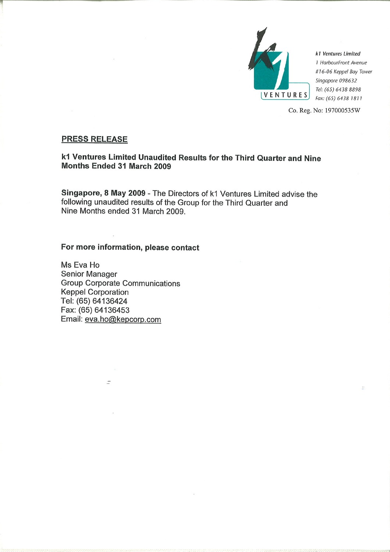

k1 Ventures Limited 1 HarbourFront Avenue #16-06 Keppel Bay Tower Singapore 098632 Tel: (65) 6438 8898 Fax: (65) 6438 1811

Co. Reg. No: 197000535W

# **PRESS RELEASE**

# k1 Ventures Limited Unaudited Results for the Third Quarter and Nine **Months Ended 31 March 2009**

Singapore, 8 May 2009 - The Directors of k1 Ventures Limited advise the following unaudited results of the Group for the Third Quarter and Nine Months ended 31 March 2009.

# For more information, please contact

Ms Eva Ho **Senior Manager Group Corporate Communications Keppel Corporation** Tel: (65) 64136424 Fax: (65) 64136453 Email: eva.ho@kepcorp.com

 $\overline{a}$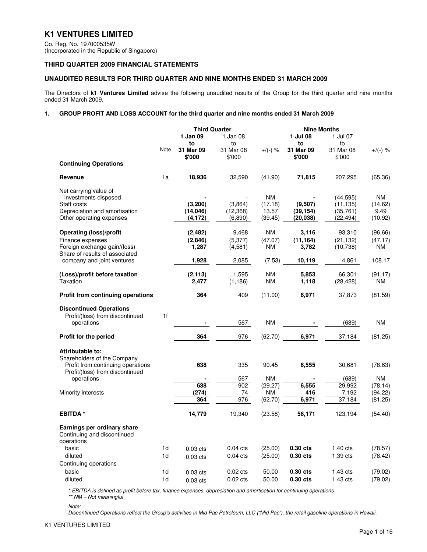# **K1 VENTURES LIMITED**

Co. Reg. No. 197000535W (Incorporated in the Republic of Singapore)

### **THIRD QUARTER 2009 FINANCIAL STATEMENTS**

### **UNAUDITED RESULTS FOR THIRD QUARTER AND NINE MONTHS ENDED 31 MARCH 2009**

The Directors of **k1 Ventures Limited** advise the following unaudited results of the Group for the third quarter and nine months ended 31 March 2009.

#### **1. GROUP PROFIT AND LOSS ACCOUNT for the third quarter and nine months ended 31 March 2009**

|                                                                |                | <b>Third Quarter</b> |            |            | <b>Nine Months</b> |            |            |
|----------------------------------------------------------------|----------------|----------------------|------------|------------|--------------------|------------|------------|
|                                                                |                | 1 Jan 09             | 1 Jan 08   |            | 1 Jul 08           | 1 Jul 07   |            |
|                                                                |                | to                   | to         |            | to                 | to         |            |
|                                                                | Note           | 31 Mar 09            | 31 Mar 08  | $+$ /(-) % | 31 Mar 09          | 31 Mar 08  | $+$ /(-) % |
|                                                                |                | \$'000               | \$'000     |            | \$'000             | \$'000     |            |
| <b>Continuing Operations</b>                                   |                |                      |            |            |                    |            |            |
| Revenue                                                        | 1a             | 18,936               | 32,590     | (41.90)    | 71,815             | 207,295    | (65.36)    |
| Net carrying value of                                          |                |                      |            |            |                    |            |            |
| investments disposed                                           |                |                      |            | <b>NM</b>  |                    | (44,595)   | NM.        |
| Staff costs                                                    |                | (3, 200)             | (3.864)    | (17.18)    | (9,507)            | (11, 135)  | (14.62)    |
| Depreciation and amortisation                                  |                | (14, 046)            | (12, 368)  | 13.57      | (39, 154)          | (35, 761)  | 9.49       |
| Other operating expenses                                       |                | (4,172)              | (6,890)    | (39.45)    | (20, 038)          | (22,494)   | (10.92)    |
| Operating (loss)/profit                                        |                | (2, 482)             | 9,468      | ΝM         | 3,116              | 93,310     | (96.66)    |
| Finance expenses                                               |                | (2,846)              | (5, 377)   | (47.07)    | (11, 164)          | (21, 132)  | (47.17)    |
| Foreign exchange gain/(loss)<br>Share of results of associated |                | 1,287                | (4,581)    | ΝM         | 3,782              | (10, 738)  | NM         |
| company and joint ventures                                     |                | 1,928                | 2,085      | (7.53)     | 10,119             | 4,861      | 108.17     |
| (Loss)/profit before taxation                                  |                | (2, 113)             | 1,595      | <b>NM</b>  | 5,853              | 66,301     | (91.17)    |
| Taxation                                                       |                | 2,477                | (1, 186)   | <b>NM</b>  | 1,118              | (28,428)   | <b>NM</b>  |
| <b>Profit from continuing operations</b>                       |                | 364                  | 409        | (11.00)    | 6.971              | 37,873     | (81.59)    |
|                                                                |                |                      |            |            |                    |            |            |
| <b>Discontinued Operations</b>                                 |                |                      |            |            |                    |            |            |
| Profit/(loss) from discontinued                                | 1f             |                      |            |            |                    |            |            |
| operations                                                     |                |                      | 567        | <b>NM</b>  |                    | (689)      | <b>NM</b>  |
| Profit for the period                                          |                | 364                  | 976        | (62.70)    | 6,971              | 37,184     | (81.25)    |
| Attributable to:                                               |                |                      |            |            |                    |            |            |
| Shareholders of the Company                                    |                |                      |            |            |                    |            |            |
| Profit from continuing operations                              |                | 638                  | 335        | 90.45      | 6,555              | 30,681     | (78.63)    |
| Profit/(loss) from discontinued                                |                |                      |            |            |                    |            |            |
| operations                                                     |                |                      | 567        | <b>NM</b>  |                    | (689)      | <b>NM</b>  |
|                                                                |                | 638                  | 902        | (29.27)    | 6,555              | 29,992     | (78.14)    |
| Minority interests                                             |                | (274)                | 74         | <b>NM</b>  | 416                | 7,192      | (94.22)    |
|                                                                |                | 364                  | 976        | (62.70)    | 6,971              | 37,184     | (81.25)    |
| <b>EBITDA</b> *                                                |                | 14,779               | 19,340     | (23.58)    | 56,171             | 123,194    | (54.40)    |
| Earnings per ordinary share                                    |                |                      |            |            |                    |            |            |
| Continuing and discontinued                                    |                |                      |            |            |                    |            |            |
| operations<br>basic                                            | 1d             |                      | $0.04$ cts |            | 0.30 cts           | $1.40$ cts | (78.57)    |
|                                                                |                | $0.03$ cts           |            | (25.00)    |                    |            |            |
| diluted                                                        | 1d             | $0.03$ cts           | $0.04$ cts | (25.00)    | $0.30$ cts         | 1.39 cts   | (78.42)    |
| Continuing operations                                          |                |                      |            |            |                    |            |            |
| basic                                                          | 1d             | $0.03$ cts           | $0.02$ cts | 50.00      | $0.30$ cts         | $1.43$ cts | (79.02)    |
| diluted                                                        | 1 <sub>d</sub> | $0.03$ cts           | $0.02$ cts | 50.00      | 0.30 cts           | 1.43 cts   | (79.02)    |

\* EBITDA is defined as profit before tax, finance expenses, depreciation and amortisation for continuing operations. \*\* NM – Not meaningful

Note:

Discontinued Operations reflect the Group's activities in Mid Pac Petroleum, LLC ("Mid Pac"), the retail gasoline operations in Hawaii.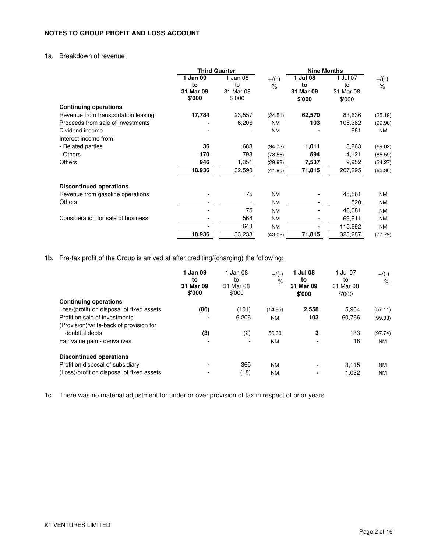## **NOTES TO GROUP PROFIT AND LOSS ACCOUNT**

## 1a. Breakdown of revenue

|                                     | <b>Third Quarter</b>                  |                                       |                               | <b>Nine Months</b>                    |                                       |                           |
|-------------------------------------|---------------------------------------|---------------------------------------|-------------------------------|---------------------------------------|---------------------------------------|---------------------------|
|                                     | 1 Jan 09<br>to<br>31 Mar 09<br>\$'000 | 1 Jan 08<br>to<br>31 Mar 08<br>\$'000 | $+/(-)$<br>$\frac{1}{\alpha}$ | 1 Jul 08<br>to<br>31 Mar 09<br>\$'000 | 1 Jul 07<br>to<br>31 Mar 08<br>\$'000 | $+$ /(-)<br>$\frac{9}{6}$ |
| <b>Continuing operations</b>        |                                       |                                       |                               |                                       |                                       |                           |
| Revenue from transportation leasing | 17,784                                | 23,557                                | (24.51)                       | 62,570                                | 83,636                                | (25.19)                   |
| Proceeds from sale of investments   |                                       | 6,206                                 | <b>NM</b>                     | 103                                   | 105,362                               | (99.90)                   |
| Dividend income                     |                                       |                                       | <b>NM</b>                     |                                       | 961                                   | <b>NM</b>                 |
| Interest income from:               |                                       |                                       |                               |                                       |                                       |                           |
| - Related parties                   | 36                                    | 683                                   | (94.73)                       | 1,011                                 | 3,263                                 | (69.02)                   |
| - Others                            | 170                                   | 793                                   | (78.56)                       | 594                                   | 4,121                                 | (85.59)                   |
| <b>Others</b>                       | 946                                   | 1,351                                 | (29.98)                       | 7,537                                 | 9,952                                 | (24.27)                   |
|                                     | 18,936                                | 32,590                                | (41.90)                       | 71,815                                | 207,295                               | (65.36)                   |
| <b>Discontinued operations</b>      |                                       |                                       |                               |                                       |                                       |                           |
| Revenue from gasoline operations    |                                       | 75                                    | <b>NM</b>                     |                                       | 45,561                                | ΝM                        |
| <b>Others</b>                       |                                       |                                       | <b>NM</b>                     |                                       | 520                                   | <b>NM</b>                 |
|                                     |                                       | 75                                    | <b>NM</b>                     |                                       | 46,081                                | <b>NM</b>                 |
| Consideration for sale of business  |                                       | 568                                   | <b>NM</b>                     | ۰                                     | 69,911                                | <b>NM</b>                 |
|                                     |                                       | 643                                   | <b>NM</b>                     |                                       | 115,992                               | NM                        |
|                                     | 18,936                                | 33,233                                | (43.02)                       | 71,815                                | 323,287                               | (77.79)                   |

1b. Pre-tax profit of the Group is arrived at after crediting/(charging) the following:

|                                           | 1 Jan 09<br>to<br>31 Mar 09<br>\$'000 | 1 Jan 08<br>to<br>31 Mar 08<br>\$'000 | $+$ /(-)<br>$\%$ | 1 Jul 08<br>to<br>31 Mar 09<br>\$'000 | 1 Jul 07<br>to<br>31 Mar 08<br>\$'000 | $+/(-)$<br>$\%$ |
|-------------------------------------------|---------------------------------------|---------------------------------------|------------------|---------------------------------------|---------------------------------------|-----------------|
| <b>Continuing operations</b>              |                                       |                                       |                  |                                       |                                       |                 |
| Loss/(profit) on disposal of fixed assets | (86)                                  | (101)                                 | (14.85)          | 2,558                                 | 5.964                                 | (57.11)         |
| Profit on sale of investments             |                                       | 6,206                                 | <b>NM</b>        | 103                                   | 60,766                                | (99.83)         |
| (Provision)/write-back of provision for   |                                       |                                       |                  |                                       |                                       |                 |
| doubtful debts                            | (3)                                   | (2)                                   | 50.00            | 3                                     | 133                                   | (97.74)         |
| Fair value gain - derivatives             |                                       |                                       | <b>NM</b>        | ۰                                     | 18                                    | <b>NM</b>       |
| <b>Discontinued operations</b>            |                                       |                                       |                  |                                       |                                       |                 |
| Profit on disposal of subsidiary          |                                       | 365                                   | <b>NM</b>        | ۰                                     | 3.115                                 | <b>NM</b>       |
| (Loss)/profit on disposal of fixed assets |                                       | (18)                                  | <b>NM</b>        | ۰                                     | 1,032                                 | ΝM              |

1c. There was no material adjustment for under or over provision of tax in respect of prior years.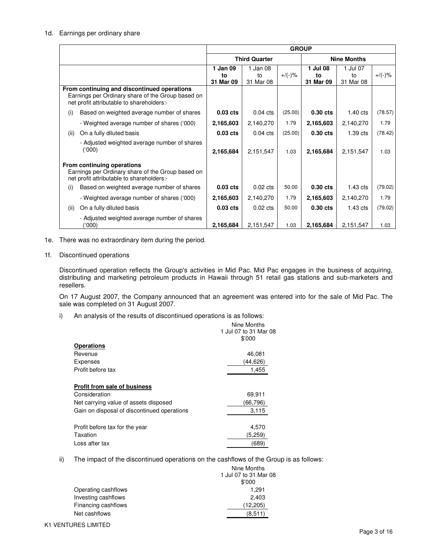### 1d. Earnings per ordinary share

|      |                                                                                                                                               | <b>GROUP</b>        |                      |           |                    |            |           |
|------|-----------------------------------------------------------------------------------------------------------------------------------------------|---------------------|----------------------|-----------|--------------------|------------|-----------|
|      |                                                                                                                                               |                     | <b>Third Quarter</b> |           | <b>Nine Months</b> |            |           |
|      |                                                                                                                                               | 1 Jan $09$          | 1 Jan 08             |           | 1 Jul 08           | 1 Jul 07   |           |
|      |                                                                                                                                               | to                  | to                   | $+/(-)$ % | to                 | to         | $+/(-)$ % |
|      |                                                                                                                                               | 31 Mar 09           | 31 Mar 08            |           | 31 Mar 09          | 31 Mar 08  |           |
|      | From continuing and discontinued operations<br>Earnings per Ordinary share of the Group based on<br>net profit attributable to shareholders:- |                     |                      |           |                    |            |           |
| (i)  | Based on weighted average number of shares                                                                                                    | 0.03 <sub>cts</sub> | $0.04$ cts           | (25.00)   | $0.30$ cts         | $1.40$ cts | (78.57)   |
|      | - Weighted average number of shares ('000)                                                                                                    | 2,165,603           | 2,140,270            | 1.79      | 2,165,603          | 2,140,270  | 1.79      |
| (ii) | On a fully diluted basis                                                                                                                      | 0.03 <sub>cts</sub> | $0.04$ cts           | (25.00)   | $0.30$ cts         | $1.39$ cts | (78.42)   |
|      | - Adjusted weighted average number of shares<br>(000)                                                                                         | 2,165,684           | 2,151,547            | 1.03      | 2,165,684          | 2,151,547  | 1.03      |
|      | From continuing operations<br>Earnings per Ordinary share of the Group based on<br>net profit attributable to shareholders:-                  |                     |                      |           |                    |            |           |
| (i)  | Based on weighted average number of shares                                                                                                    | 0.03 <sub>cts</sub> | $0.02 \text{ cts}$   | 50.00     | $0.30$ cts         | $1.43$ cts | (79.02)   |
|      | - Weighted average number of shares ('000)                                                                                                    | 2,165,603           | 2,140,270            | 1.79      | 2,165,603          | 2,140,270  | 1.79      |
| (ii) | On a fully diluted basis                                                                                                                      | 0.03 <sub>cts</sub> | $0.02 \text{ cts}$   | 50.00     | $0.30$ cts         | $1.43$ cts | (79.02)   |
|      | - Adjusted weighted average number of shares<br>(000)                                                                                         | 2,165,684           | 2,151,547            | 1.03      | 2,165,684          | 2,151,547  | 1.03      |

1e. There was no extraordinary item during the period.

#### 1f. Discontinued operations

 Discontinued operation reflects the Group's activities in Mid Pac. Mid Pac engages in the business of acquiring, distributing and marketing petroleum products in Hawaii through 51 retail gas stations and sub-marketers and resellers.

 On 17 August 2007, the Company announced that an agreement was entered into for the sale of Mid Pac. The sale was completed on 31 August 2007.

i) An analysis of the results of discontinued operations is as follows:

|                                             | Nine Months           |
|---------------------------------------------|-----------------------|
|                                             | 1 Jul 07 to 31 Mar 08 |
|                                             | \$'000                |
| <b>Operations</b>                           |                       |
| Revenue                                     | 46,081                |
| <b>Expenses</b>                             | (44,626)              |
| Profit before tax                           | 1,455                 |
|                                             |                       |
| <b>Profit from sale of business</b>         |                       |
| Consideration                               | 69,911                |
| Net carrying value of assets disposed       | (66,796)              |
| Gain on disposal of discontinued operations | 3,115                 |
|                                             |                       |
| Profit before tax for the year              | 4,570                 |
| Taxation                                    | (5,259)               |
| Loss after tax                              | (689)                 |

ii) The impact of the discontinued operations on the cashflows of the Group is as follows:

|                     | Nine Months           |
|---------------------|-----------------------|
|                     | 1 Jul 07 to 31 Mar 08 |
|                     | \$'000                |
| Operating cashflows | 1.291                 |
| Investing cashflows | 2,403                 |
| Financing cashflows | (12, 205)             |
| Net cashflows       | (8.511)               |
|                     |                       |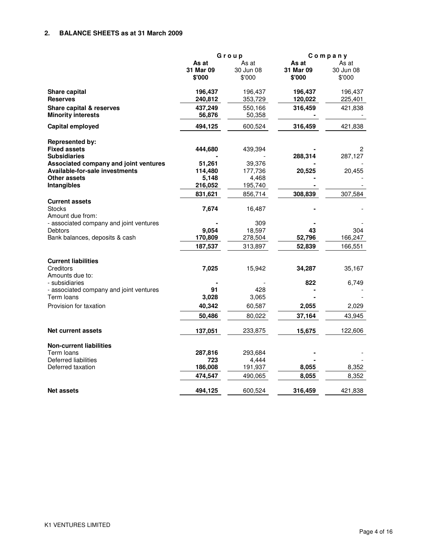## **2. BALANCE SHEETS as at 31 March 2009**

|                                                            | Group     |           |           | Company   |
|------------------------------------------------------------|-----------|-----------|-----------|-----------|
|                                                            | As at     | As at     | As at     | As at     |
|                                                            | 31 Mar 09 | 30 Jun 08 | 31 Mar 09 | 30 Jun 08 |
|                                                            | \$'000    | \$'000    | \$'000    | \$'000    |
| Share capital                                              | 196,437   | 196,437   | 196,437   | 196,437   |
| <b>Reserves</b>                                            | 240,812   | 353,729   | 120,022   | 225,401   |
| Share capital & reserves                                   | 437,249   | 550,166   | 316,459   | 421,838   |
| <b>Minority interests</b>                                  | 56,876    | 50,358    |           |           |
| Capital employed                                           | 494,125   | 600,524   | 316,459   | 421,838   |
| <b>Represented by:</b>                                     |           |           |           |           |
| <b>Fixed assets</b>                                        | 444,680   | 439,394   |           | 2         |
| <b>Subsidiaries</b>                                        |           |           | 288,314   | 287,127   |
| Associated company and joint ventures                      | 51,261    | 39,376    |           |           |
| <b>Available-for-sale investments</b>                      | 114,480   | 177,736   | 20,525    | 20,455    |
| Other assets                                               | 5,148     | 4,468     |           |           |
| Intangibles                                                | 216,052   | 195,740   |           |           |
|                                                            | 831,621   | 856,714   | 308,839   | 307,584   |
| <b>Current assets</b><br><b>Stocks</b><br>Amount due from: | 7,674     | 16,487    |           |           |
| - associated company and joint ventures                    |           | 309       |           |           |
| Debtors                                                    | 9.054     | 18,597    | 43        | 304       |
| Bank balances, deposits & cash                             | 170,809   | 278,504   | 52,796    | 166,247   |
|                                                            | 187,537   | 313,897   | 52,839    | 166,551   |
| <b>Current liabilities</b>                                 |           |           |           |           |
| Creditors<br>Amounts due to:                               | 7,025     | 15,942    | 34,287    | 35,167    |
| - subsidiaries                                             |           |           | 822       | 6,749     |
| - associated company and joint ventures                    | 91        | 428       |           |           |
| Term loans                                                 | 3,028     | 3,065     |           |           |
| Provision for taxation                                     | 40,342    | 60,587    | 2,055     | 2,029     |
|                                                            | 50,486    | 80,022    | 37,164    | 43,945    |
| Net current assets                                         | 137,051   | 233,875   | 15,675    | 122,606   |
| <b>Non-current liabilities</b>                             |           |           |           |           |
| Term loans                                                 | 287,816   | 293,684   |           |           |
| Deferred liabilities                                       | 723       | 4,444     |           |           |
| Deferred taxation                                          | 186,008   | 191,937   | 8,055     | 8,352     |
|                                                            | 474,547   | 490,065   | 8,055     | 8,352     |
| <b>Net assets</b>                                          | 494,125   | 600,524   | 316,459   | 421,838   |
|                                                            |           |           |           |           |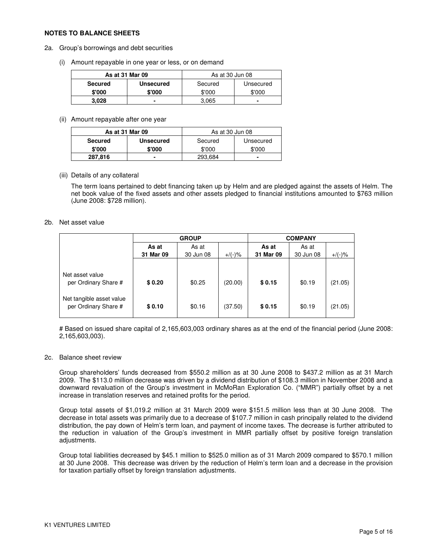### **NOTES TO BALANCE SHEETS**

- 2a. Group's borrowings and debt securities
	- (i) Amount repayable in one year or less, or on demand

| As at 31 Mar 09 |                  | As at 30 Jun 08 |           |  |
|-----------------|------------------|-----------------|-----------|--|
| Secured         | <b>Unsecured</b> | Secured         | Unsecured |  |
| \$'000          | \$'000           | \$'000          | \$'000    |  |
| 3,028           |                  | 3.065           | -         |  |

(ii) Amount repayable after one year

| As at 31 Mar 09 |                  | As at 30 Jun 08 |           |  |
|-----------------|------------------|-----------------|-----------|--|
| <b>Secured</b>  | <b>Unsecured</b> | Secured         | Unsecured |  |
| \$'000          | \$'000           | \$'000          | \$'000    |  |
| 287,816         |                  | 293,684         |           |  |

(iii) Details of any collateral

The term loans pertained to debt financing taken up by Helm and are pledged against the assets of Helm. The net book value of the fixed assets and other assets pledged to financial institutions amounted to \$763 million (June 2008: \$728 million).

### 2b. Net asset value

|                                                  | <b>GROUP</b> |           |           | <b>COMPANY</b> |           |           |  |
|--------------------------------------------------|--------------|-----------|-----------|----------------|-----------|-----------|--|
|                                                  | As at        | As at     |           | As at          | As at     |           |  |
|                                                  | 31 Mar 09    | 30 Jun 08 | $+/(-)$ % | 31 Mar 09      | 30 Jun 08 | $+$ /(-)% |  |
| Net asset value<br>per Ordinary Share #          | \$0.20       | \$0.25    | (20.00)   | \$0.15         | \$0.19    | (21.05)   |  |
| Net tangible asset value<br>per Ordinary Share # | \$0.10       | \$0.16    | (37.50)   | \$0.15         | \$0.19    | (21.05)   |  |

# Based on issued share capital of 2,165,603,003 ordinary shares as at the end of the financial period (June 2008: 2,165,603,003).

### 2c. Balance sheet review

Group shareholders' funds decreased from \$550.2 million as at 30 June 2008 to \$437.2 million as at 31 March 2009. The \$113.0 million decrease was driven by a dividend distribution of \$108.3 million in November 2008 and a downward revaluation of the Group's investment in McMoRan Exploration Co. ("MMR") partially offset by a net increase in translation reserves and retained profits for the period.

Group total assets of \$1,019.2 million at 31 March 2009 were \$151.5 million less than at 30 June 2008. The decrease in total assets was primarily due to a decrease of \$107.7 million in cash principally related to the dividend distribution, the pay down of Helm's term loan, and payment of income taxes. The decrease is further attributed to the reduction in valuation of the Group's investment in MMR partially offset by positive foreign translation adjustments.

Group total liabilities decreased by \$45.1 million to \$525.0 million as of 31 March 2009 compared to \$570.1 million at 30 June 2008. This decrease was driven by the reduction of Helm's term loan and a decrease in the provision for taxation partially offset by foreign translation adjustments.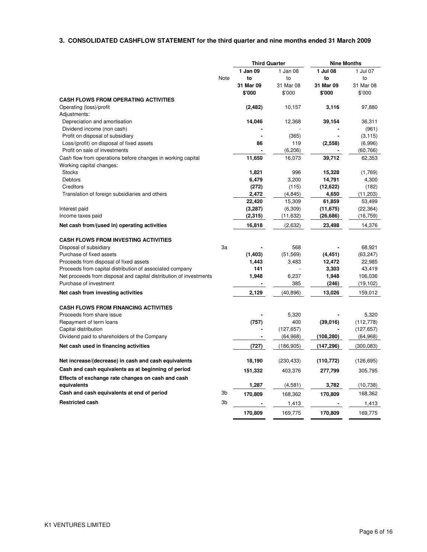### **3. CONSOLIDATED CASHFLOW STATEMENT for the third quarter and nine months ended 31 March 2009**

|                                                                                                    |                | <b>Third Quarter</b> |                   | <b>Nine Months</b>  |                     |
|----------------------------------------------------------------------------------------------------|----------------|----------------------|-------------------|---------------------|---------------------|
|                                                                                                    |                | 1 Jan 09             | 1 Jan 08          | 1 Jul 08            | 1 Jul 07            |
|                                                                                                    | Note           | to                   | to                | to                  | to                  |
|                                                                                                    |                | 31 Mar 09            | 31 Mar 08         | 31 Mar 09           | 31 Mar 08           |
|                                                                                                    |                | \$'000               | \$'000            | \$'000              | \$'000              |
| <b>CASH FLOWS FROM OPERATING ACTIVITIES</b>                                                        |                |                      |                   |                     |                     |
| Operating (loss)/profit                                                                            |                | (2,482)              | 10,157            | 3.116               | 97,880              |
| Adjustments:                                                                                       |                |                      |                   |                     |                     |
| Depreciation and amortisation                                                                      |                | 14,046               | 12,368            | 39.154              | 36,311              |
| Dividend income (non cash)                                                                         |                |                      |                   |                     | (961)               |
| Profit on disposal of subsidiary<br>Loss/(profit) on disposal of fixed assets                      |                | 86                   | (365)<br>119      | (2, 558)            | (3, 115)<br>(6,996) |
| Profit on sale of investments                                                                      |                |                      | (6, 206)          |                     | (60, 766)           |
| Cash flow from operations before changes in working capital                                        |                | 11,650               | 16,073            | 39,712              | 62,353              |
| Working capital changes:                                                                           |                |                      |                   |                     |                     |
| <b>Stocks</b>                                                                                      |                | 1,821                | 996               | 15,328              | (1,769)             |
| Debtors                                                                                            |                | 6,479                | 3,200             | 14,791              | 4,300               |
| Creditors                                                                                          |                | (272)                | (115)             | (12, 622)           | (182)               |
| Translation of foreign subsidiaries and others                                                     |                | 2,472                | (4, 845)          | 4,650               | (11, 203)<br>53,499 |
| Interest paid                                                                                      |                | 22,420<br>(3,287)    | 15,309<br>(6,309) | 61,859<br>(11, 675) | (22, 364)           |
| Income taxes paid                                                                                  |                | (2,315)              | (11, 632)         | (26, 686)           | (16, 759)           |
|                                                                                                    |                |                      |                   | 23,498              |                     |
| Net cash from/(used in) operating activities                                                       |                | 16,818               | (2,632)           |                     | 14,376              |
| <b>CASH FLOWS FROM INVESTING ACTIVITIES</b>                                                        |                |                      |                   |                     |                     |
| Disposal of subsidiary                                                                             | 3a             |                      | 568               |                     | 68,921              |
| Purchase of fixed assets                                                                           |                | (1, 403)             | (51, 569)         | (4, 451)            | (63, 247)           |
| Proceeds from disposal of fixed assets<br>Proceeds from capital distribution of associated company |                | 1,443<br>141         | 3,483             | 12,472<br>3,303     | 22,985<br>43,419    |
| Net proceeds from disposal and capital distribution of investments                                 |                | 1,948                | 6,237             | 1,948               | 106,036             |
| Purchase of investment                                                                             |                | ۰                    | 385               | (246)               | (19, 102)           |
| Net cash from investing activities                                                                 |                | 2,129                | (40, 896)         | 13,026              | 159,012             |
|                                                                                                    |                |                      |                   |                     |                     |
| <b>CASH FLOWS FROM FINANCING ACTIVITIES</b>                                                        |                |                      |                   |                     |                     |
| Proceeds from share issue                                                                          |                |                      | 5,320             |                     | 5,320               |
| Repayment of term loans                                                                            |                | (757)                | 400               | (39, 016)           | (112, 778)          |
| Capital distribution                                                                               |                |                      | (127, 657)        |                     | (127, 657)          |
| Dividend paid to shareholders of the Company                                                       |                | $\blacksquare$       | (64, 968)         | (108,280)           | (64, 968)           |
| Net cash used in financing activities                                                              |                | (727)                | (186, 905)        | (147, 296)          | (300, 083)          |
| Net increase/(decrease) in cash and cash equivalents                                               |                | 18,190               | (230, 433)        | (110, 772)          | (126, 695)          |
| Cash and cash equivalents as at beginning of period                                                |                | 151,332              | 403,376           | 277,799             | 305,795             |
| Effects of exchange rate changes on cash and cash                                                  |                |                      |                   |                     |                     |
| equivalents                                                                                        |                | 1,287                | (4,581)           | 3,782               | (10, 738)           |
| Cash and cash equivalents at end of period                                                         | 3b             | 170,809              | 168,362           | 170,809             | 168,362             |
| <b>Restricted cash</b>                                                                             | 3 <sub>b</sub> |                      | 1,413             |                     | 1,413               |
|                                                                                                    |                | 170,809              | 169,775           | 170,809             | 169,775             |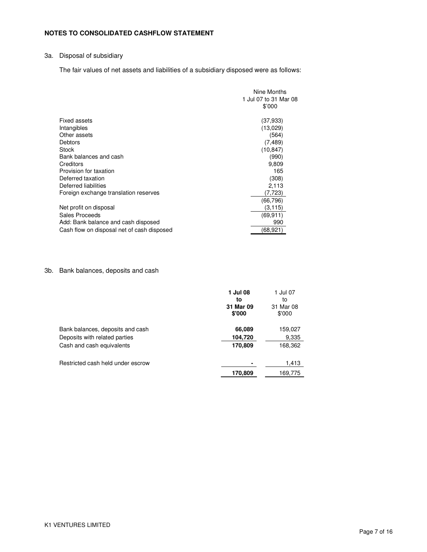## **NOTES TO CONSOLIDATED CASHFLOW STATEMENT**

## 3a. Disposal of subsidiary

The fair values of net assets and liabilities of a subsidiary disposed were as follows:

|                                            | Nine Months           |
|--------------------------------------------|-----------------------|
|                                            | 1 Jul 07 to 31 Mar 08 |
|                                            | \$'000                |
| <b>Fixed assets</b>                        | (37,933)              |
| Intangibles                                | (13,029)              |
| Other assets                               | (564)                 |
| Debtors                                    | (7, 489)              |
| Stock                                      | (10, 847)             |
| Bank balances and cash                     | (990)                 |
| Creditors                                  | 9,809                 |
| Provision for taxation                     | 165                   |
| Deferred taxation                          | (308)                 |
| Deferred liabilities                       | 2,113                 |
| Foreign exchange translation reserves      | (7,723)               |
|                                            | (66,796)              |
| Net profit on disposal                     | (3, 115)              |
| Sales Proceeds                             | (69.911)              |
| Add: Bank balance and cash disposed        | 990                   |
| Cash flow on disposal net of cash disposed | (68, 921)             |

## 3b. Bank balances, deposits and cash

|                                                                                                | 1 Jul 08<br>to<br>31 Mar 09<br>\$'000 | 1 Jul 07<br>to<br>31 Mar 08<br>\$'000 |
|------------------------------------------------------------------------------------------------|---------------------------------------|---------------------------------------|
| Bank balances, deposits and cash<br>Deposits with related parties<br>Cash and cash equivalents | 66,089<br>104,720<br>170,809          | 159,027<br>9,335<br>168,362           |
| Restricted cash held under escrow                                                              | 170,809                               | 1,413<br>169,775                      |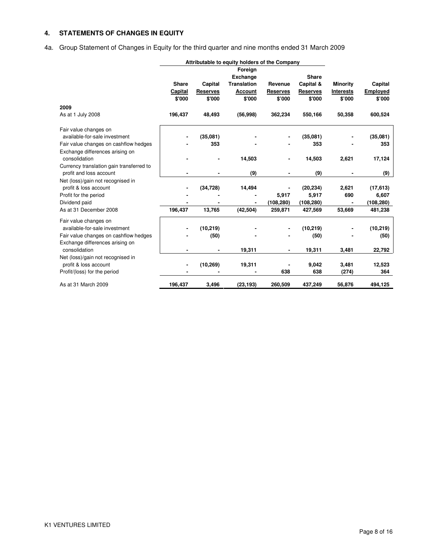## **4. STATEMENTS OF CHANGES IN EQUITY**

4a. Group Statement of Changes in Equity for the third quarter and nine months ended 31 March 2009

|                                          | Attributable to equity holders of the Company |                 |                    |                 |                 |                  |            |
|------------------------------------------|-----------------------------------------------|-----------------|--------------------|-----------------|-----------------|------------------|------------|
|                                          |                                               |                 | Foreign            |                 |                 |                  |            |
|                                          |                                               |                 | <b>Exchange</b>    |                 | <b>Share</b>    |                  |            |
|                                          | <b>Share</b>                                  | Capital         | <b>Translation</b> | Revenue         | Capital &       | <b>Minority</b>  | Capital    |
|                                          | Capital                                       | <b>Reserves</b> | <b>Account</b>     | <b>Reserves</b> | <b>Reserves</b> | <b>Interests</b> | Employed   |
|                                          | \$'000                                        | \$'000          | \$'000             | \$'000          | \$'000          | \$'000           | \$'000     |
| 2009                                     |                                               |                 |                    |                 |                 |                  |            |
| As at 1 July 2008                        | 196,437                                       | 48,493          | (56, 998)          | 362,234         | 550,166         | 50,358           | 600,524    |
| Fair value changes on                    |                                               |                 |                    |                 |                 |                  |            |
| available-for-sale investment            |                                               | (35,081)        |                    |                 | (35,081)        |                  | (35,081)   |
| Fair value changes on cashflow hedges    |                                               | 353             |                    |                 | 353             |                  | 353        |
| Exchange differences arising on          |                                               |                 |                    |                 |                 |                  |            |
| consolidation                            |                                               |                 | 14,503             |                 | 14,503          | 2,621            | 17,124     |
| Currency translation gain transferred to |                                               |                 |                    |                 |                 |                  |            |
| profit and loss account                  |                                               |                 | (9)                |                 | (9)             |                  | (9)        |
| Net (loss)/gain not recognised in        |                                               |                 |                    |                 |                 |                  |            |
| profit & loss account                    |                                               | (34, 728)       | 14,494             |                 | (20, 234)       | 2,621            | (17, 613)  |
| Profit for the period                    |                                               |                 |                    | 5,917           | 5,917           | 690              | 6,607      |
| Dividend paid                            |                                               |                 |                    | (108, 280)      | (108, 280)      |                  | (108, 280) |
| As at 31 December 2008                   | 196,437                                       | 13,765          | (42, 504)          | 259,871         | 427,569         | 53,669           | 481,238    |
| Fair value changes on                    |                                               |                 |                    |                 |                 |                  |            |
| available-for-sale investment            |                                               | (10, 219)       |                    |                 | (10, 219)       |                  | (10, 219)  |
| Fair value changes on cashflow hedges    |                                               | (50)            |                    |                 | (50)            |                  | (50)       |
| Exchange differences arising on          |                                               |                 |                    |                 |                 |                  |            |
| consolidation                            |                                               |                 | 19,311             |                 | 19,311          | 3,481            | 22,792     |
| Net (loss)/gain not recognised in        |                                               |                 |                    |                 |                 |                  |            |
| profit & loss account                    |                                               | (10, 269)       | 19,311             |                 | 9,042           | 3,481            | 12,523     |
| Profit/(loss) for the period             |                                               |                 |                    | 638             | 638             | (274)            | 364        |
| As at 31 March 2009                      | 196,437                                       | 3,496           | (23, 193)          | 260,509         | 437,249         | 56,876           | 494.125    |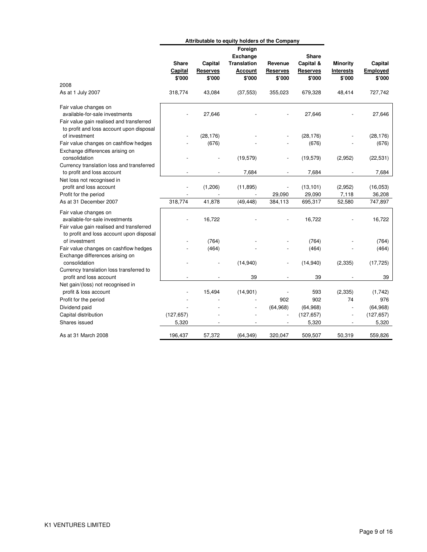|                                                                                                                                                 | Attributable to equity holders of the Company |                                      |                                                                              |                                      |                                                        |                                        |                               |
|-------------------------------------------------------------------------------------------------------------------------------------------------|-----------------------------------------------|--------------------------------------|------------------------------------------------------------------------------|--------------------------------------|--------------------------------------------------------|----------------------------------------|-------------------------------|
|                                                                                                                                                 | <b>Share</b><br>Capital<br>\$'000             | Capital<br><b>Reserves</b><br>\$'000 | Foreign<br><b>Exchange</b><br><b>Translation</b><br><b>Account</b><br>\$'000 | Revenue<br><b>Reserves</b><br>\$'000 | <b>Share</b><br>Capital &<br><b>Reserves</b><br>\$'000 | <b>Minority</b><br>Interests<br>\$'000 | Capital<br>Employed<br>\$'000 |
| 2008                                                                                                                                            |                                               |                                      |                                                                              |                                      |                                                        |                                        |                               |
| As at 1 July 2007                                                                                                                               | 318,774                                       | 43,084                               | (37, 553)                                                                    | 355,023                              | 679,328                                                | 48,414                                 | 727,742                       |
| Fair value changes on<br>available-for-sale investments<br>Fair value gain realised and transferred                                             |                                               | 27,646                               |                                                                              |                                      | 27,646                                                 |                                        | 27,646                        |
| to profit and loss account upon disposal<br>of investment                                                                                       |                                               | (28, 176)                            |                                                                              |                                      | (28, 176)                                              |                                        | (28, 176)                     |
| Fair value changes on cashflow hedges<br>Exchange differences arising on<br>consolidation                                                       |                                               | (676)                                | (19, 579)                                                                    |                                      | (676)<br>(19, 579)                                     | (2,952)                                | (676)<br>(22, 531)            |
| Currency translation loss and transferred<br>to profit and loss account                                                                         |                                               |                                      | 7,684                                                                        |                                      | 7,684                                                  |                                        | 7,684                         |
| Net loss not recognised in<br>profit and loss account<br>Profit for the period                                                                  |                                               | (1,206)                              | (11, 895)                                                                    | 29,090                               | (13, 101)<br>29,090                                    | (2,952)<br>7,118                       | (16, 053)<br>36,208           |
| As at 31 December 2007                                                                                                                          | 318,774                                       | 41,878                               | (49, 448)                                                                    | 384,113                              | 695,317                                                | 52,580                                 | 747,897                       |
| Fair value changes on<br>available-for-sale investments<br>Fair value gain realised and transferred<br>to profit and loss account upon disposal |                                               | 16,722                               |                                                                              |                                      | 16,722                                                 |                                        | 16,722                        |
| of investment<br>Fair value changes on cashflow hedges                                                                                          |                                               | (764)<br>(464)                       |                                                                              |                                      | (764)<br>(464)                                         |                                        | (764)<br>(464)                |
| Exchange differences arising on<br>consolidation                                                                                                |                                               |                                      | (14, 940)                                                                    |                                      | (14, 940)                                              | (2, 335)                               | (17, 725)                     |
| Currency translation loss transferred to<br>profit and loss account<br>Net gain/(loss) not recognised in                                        |                                               |                                      | 39                                                                           | $\overline{a}$                       | 39                                                     |                                        | 39                            |
| profit & loss account<br>Profit for the period                                                                                                  |                                               | 15,494                               | (14, 901)                                                                    | 902                                  | 593<br>902                                             | (2, 335)<br>74                         | (1,742)<br>976                |
| Dividend paid                                                                                                                                   |                                               |                                      |                                                                              | (64, 968)                            | (64, 968)                                              |                                        | (64, 968)                     |
| Capital distribution<br>Shares issued                                                                                                           | (127, 657)<br>5,320                           |                                      |                                                                              |                                      | (127, 657)<br>5,320                                    |                                        | (127, 657)<br>5,320           |
| As at 31 March 2008                                                                                                                             | 196,437                                       | 57,372                               | (64, 349)                                                                    | 320,047                              | 509,507                                                | 50,319                                 | 559,826                       |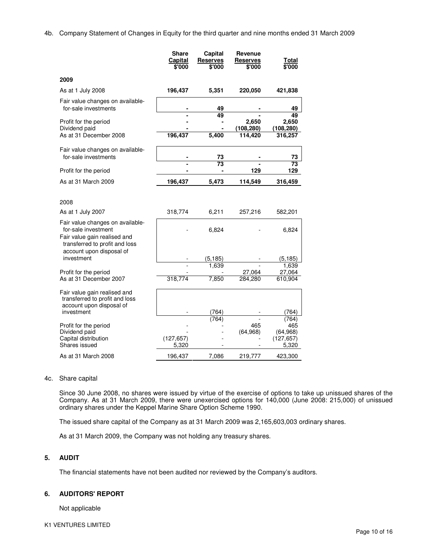4b. Company Statement of Changes in Equity for the third quarter and nine months ended 31 March 2009

|                                                                                                                                                       | Share<br>Capital<br>\$'000 | Capital<br><b>Reserves</b><br>\$'000 | Revenue<br><b>Reserves</b><br>\$'000 | Total<br>$\frac{1}{2000}$                        |
|-------------------------------------------------------------------------------------------------------------------------------------------------------|----------------------------|--------------------------------------|--------------------------------------|--------------------------------------------------|
| 2009                                                                                                                                                  |                            |                                      |                                      |                                                  |
| As at 1 July 2008                                                                                                                                     | 196,437                    | 5,351                                | 220,050                              | 421,838                                          |
| Fair value changes on available-<br>for-sale investments                                                                                              |                            | 49                                   |                                      | 49                                               |
| Profit for the period<br>Dividend paid<br>As at 31 December 2008                                                                                      | 196,437                    | 49<br>5,400                          | 2,650<br>(108, 280)<br>114,420       | 49<br>2,650<br>(108, 280)<br>316,257             |
|                                                                                                                                                       |                            |                                      |                                      |                                                  |
| Fair value changes on available-<br>for-sale investments                                                                                              |                            | 73                                   |                                      | 73                                               |
| Profit for the period                                                                                                                                 |                            | 73                                   | 129                                  | 73<br>129                                        |
| As at 31 March 2009                                                                                                                                   | 196,437                    | 5,473                                | 114,549                              | 316,459                                          |
| 2008                                                                                                                                                  |                            |                                      |                                      |                                                  |
| As at 1 July 2007                                                                                                                                     | 318,774                    | 6,211                                | 257,216                              | 582,201                                          |
| Fair value changes on available-<br>for-sale investment<br>Fair value gain realised and<br>transferred to profit and loss<br>account upon disposal of |                            | 6,824                                |                                      | 6,824                                            |
| investment                                                                                                                                            |                            | (5, 185)                             |                                      | (5, 185)                                         |
| Profit for the period                                                                                                                                 |                            | 1,639                                | 27,064                               | 1,639<br>27,064                                  |
| As at 31 December 2007                                                                                                                                | 318,774                    | 7.850                                | 284,280                              | 610,904                                          |
| Fair value gain realised and<br>transferred to profit and loss<br>account upon disposal of<br>investment                                              |                            | (764)                                |                                      | (764                                             |
| Profit for the period<br>Dividend paid<br>Capital distribution<br>Shares issued                                                                       | (127, 657)<br>5,320        | (764)                                | 465<br>(64, 968)                     | (764)<br>465<br>(64, 968)<br>(127, 657)<br>5.320 |
| As at 31 March 2008                                                                                                                                   | 196,437                    | 7,086                                | 219,777                              | 423,300                                          |

#### 4c. Share capital

Since 30 June 2008, no shares were issued by virtue of the exercise of options to take up unissued shares of the Company. As at 31 March 2009, there were unexercised options for 140,000 (June 2008: 215,000) of unissued ordinary shares under the Keppel Marine Share Option Scheme 1990.

The issued share capital of the Company as at 31 March 2009 was 2,165,603,003 ordinary shares.

As at 31 March 2009, the Company was not holding any treasury shares.

### **5. AUDIT**

The financial statements have not been audited nor reviewed by the Company's auditors.

### **6. AUDITORS' REPORT**

Not applicable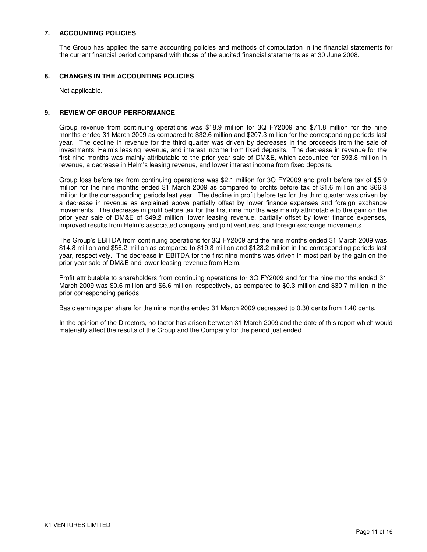## **7. ACCOUNTING POLICIES**

The Group has applied the same accounting policies and methods of computation in the financial statements for the current financial period compared with those of the audited financial statements as at 30 June 2008.

### **8. CHANGES IN THE ACCOUNTING POLICIES**

Not applicable.

### **9. REVIEW OF GROUP PERFORMANCE**

Group revenue from continuing operations was \$18.9 million for 3Q FY2009 and \$71.8 million for the nine months ended 31 March 2009 as compared to \$32.6 million and \$207.3 million for the corresponding periods last year. The decline in revenue for the third quarter was driven by decreases in the proceeds from the sale of investments, Helm's leasing revenue, and interest income from fixed deposits. The decrease in revenue for the first nine months was mainly attributable to the prior year sale of DM&E, which accounted for \$93.8 million in revenue, a decrease in Helm's leasing revenue, and lower interest income from fixed deposits.

Group loss before tax from continuing operations was \$2.1 million for 3Q FY2009 and profit before tax of \$5.9 million for the nine months ended 31 March 2009 as compared to profits before tax of \$1.6 million and \$66.3 million for the corresponding periods last year. The decline in profit before tax for the third quarter was driven by a decrease in revenue as explained above partially offset by lower finance expenses and foreign exchange movements. The decrease in profit before tax for the first nine months was mainly attributable to the gain on the prior year sale of DM&E of \$49.2 million, lower leasing revenue, partially offset by lower finance expenses, improved results from Helm's associated company and joint ventures, and foreign exchange movements.

The Group's EBITDA from continuing operations for 3Q FY2009 and the nine months ended 31 March 2009 was \$14.8 million and \$56.2 million as compared to \$19.3 million and \$123.2 million in the corresponding periods last year, respectively. The decrease in EBITDA for the first nine months was driven in most part by the gain on the prior year sale of DM&E and lower leasing revenue from Helm.

Profit attributable to shareholders from continuing operations for 3Q FY2009 and for the nine months ended 31 March 2009 was \$0.6 million and \$6.6 million, respectively, as compared to \$0.3 million and \$30.7 million in the prior corresponding periods.

Basic earnings per share for the nine months ended 31 March 2009 decreased to 0.30 cents from 1.40 cents.

In the opinion of the Directors, no factor has arisen between 31 March 2009 and the date of this report which would materially affect the results of the Group and the Company for the period just ended.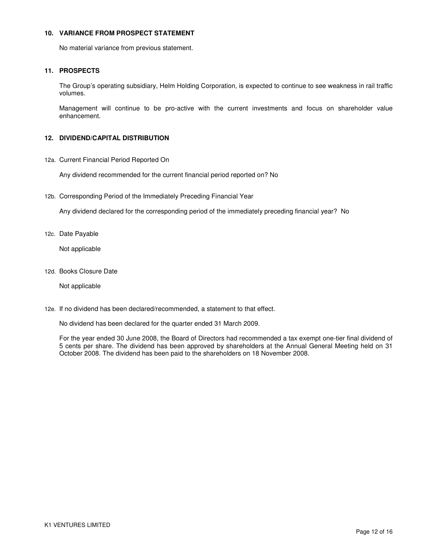### **10. VARIANCE FROM PROSPECT STATEMENT**

No material variance from previous statement.

## **11. PROSPECTS**

The Group's operating subsidiary, Helm Holding Corporation, is expected to continue to see weakness in rail traffic volumes.

Management will continue to be pro-active with the current investments and focus on shareholder value enhancement.

## **12. DIVIDEND/CAPITAL DISTRIBUTION**

12a. Current Financial Period Reported On

Any dividend recommended for the current financial period reported on? No

12b. Corresponding Period of the Immediately Preceding Financial Year

Any dividend declared for the corresponding period of the immediately preceding financial year? No

12c. Date Payable

Not applicable

12d. Books Closure Date

Not applicable

12e. If no dividend has been declared/recommended, a statement to that effect.

No dividend has been declared for the quarter ended 31 March 2009.

For the year ended 30 June 2008, the Board of Directors had recommended a tax exempt one-tier final dividend of 5 cents per share. The dividend has been approved by shareholders at the Annual General Meeting held on 31 October 2008. The dividend has been paid to the shareholders on 18 November 2008.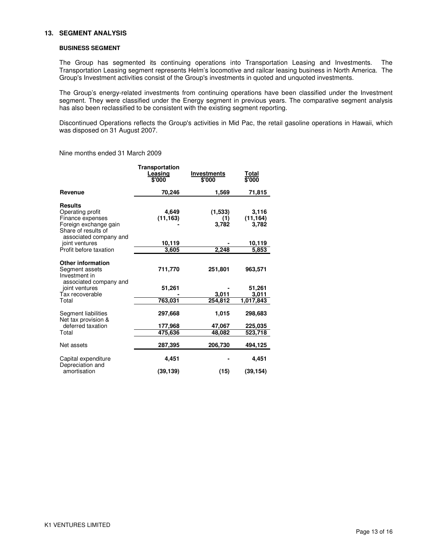#### **13. SEGMENT ANALYSIS**

#### **BUSINESS SEGMENT**

The Group has segmented its continuing operations into Transportation Leasing and Investments. The Transportation Leasing segment represents Helm's locomotive and railcar leasing business in North America. The Group's Investment activities consist of the Group's investments in quoted and unquoted investments.

The Group's energy-related investments from continuing operations have been classified under the Investment segment. They were classified under the Energy segment in previous years. The comparative segment analysis has also been reclassified to be consistent with the existing segment reporting.

Discontinued Operations reflects the Group's activities in Mid Pac, the retail gasoline operations in Hawaii, which was disposed on 31 August 2007.

Nine months ended 31 March 2009

|                                                                                                                                  | Transportation<br>Leasing<br>\$'000 | Investments<br>\$'000   | Total<br>\$'000             |
|----------------------------------------------------------------------------------------------------------------------------------|-------------------------------------|-------------------------|-----------------------------|
| Revenue                                                                                                                          | 70,246                              | 1,569                   | 71,815                      |
| <b>Results</b><br>Operating profit<br>Finance expenses<br>Foreign exchange gain<br>Share of results of<br>associated company and | 4,649<br>(11, 163)                  | (1,533)<br>(1)<br>3,782 | 3,116<br>(11, 164)<br>3,782 |
| joint ventures                                                                                                                   | 10,119                              |                         | 10,119                      |
| Profit before taxation                                                                                                           | 3,605                               | 2,248                   | 5,853                       |
| <b>Other information</b><br>Segment assets<br>Investment in<br>associated company and                                            | 711,770                             | 251,801                 | 963,571                     |
| joint ventures                                                                                                                   | 51,261                              |                         | 51,261                      |
| Tax recoverable                                                                                                                  |                                     | 3.011                   | 3,011                       |
| Total                                                                                                                            | 763,031                             | 254,812                 | 1,017,843                   |
| Segment liabilities<br>Net tax provision &                                                                                       | 297,668                             | 1,015                   | 298,683                     |
| deferred taxation                                                                                                                | 177,968                             | 47,067                  | 225,035                     |
| Total                                                                                                                            | 475,636                             | 48,082                  | 523,718                     |
| Net assets                                                                                                                       | 287,395                             | 206,730                 | 494,125                     |
| Capital expenditure<br>Depreciation and                                                                                          | 4,451                               |                         | 4,451                       |
| amortisation                                                                                                                     | (39, 139)                           | (15)                    | (39, 154)                   |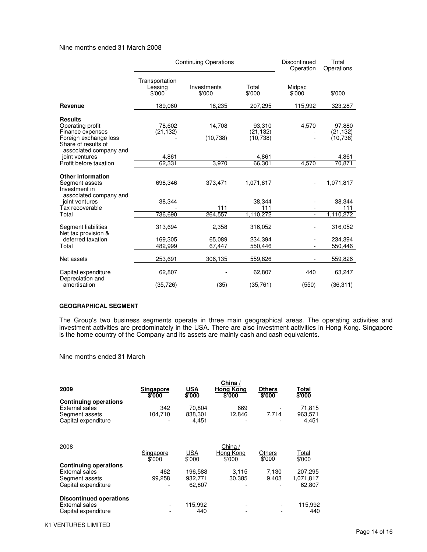#### Nine months ended 31 March 2008

|                                                                                                                                  | <b>Continuing Operations</b>        |                       |                                  | Discontinued<br>Operation | Total<br>Operations              |  |
|----------------------------------------------------------------------------------------------------------------------------------|-------------------------------------|-----------------------|----------------------------------|---------------------------|----------------------------------|--|
|                                                                                                                                  | Transportation<br>Leasing<br>\$'000 | Investments<br>\$'000 | Total<br>\$'000                  | Midpac<br>\$'000          | \$'000                           |  |
| Revenue                                                                                                                          | 189,060                             | 18,235                | 207,295                          | 115,992                   | 323,287                          |  |
| <b>Results</b><br>Operating profit<br>Finance expenses<br>Foreign exchange loss<br>Share of results of<br>associated company and | 78.602<br>(21, 132)                 | 14,708<br>(10, 738)   | 93,310<br>(21, 132)<br>(10, 738) | 4,570                     | 97,880<br>(21, 132)<br>(10, 738) |  |
| joint ventures                                                                                                                   | 4,861                               |                       | 4,861                            |                           | 4,861                            |  |
| Profit before taxation                                                                                                           | 62,331                              | 3,970                 | 66,301                           | 4,570                     | 70,871                           |  |
| <b>Other information</b><br>Segment assets<br>Investment in<br>associated company and                                            | 698,346                             | 373,471               | 1,071,817                        |                           | 1,071,817                        |  |
| joint ventures                                                                                                                   | 38,344                              |                       | 38.344                           |                           | 38,344                           |  |
| Tax recoverable<br>Total                                                                                                         | 736,690                             | 111<br>264,557        | 111<br>1,110,272                 | $\blacksquare$            | 111<br>1,110,272                 |  |
| Segment liabilities<br>Net tax provision &                                                                                       | 313,694                             | 2,358                 | 316,052                          |                           | 316,052                          |  |
| deferred taxation                                                                                                                | 169,305                             | 65,089                | 234,394                          |                           | 234,394                          |  |
| Total                                                                                                                            | 482,999                             | 67,447                | 550,446                          |                           | 550,446                          |  |
| Net assets                                                                                                                       | 253,691                             | 306,135               | 559,826                          |                           | 559,826                          |  |
| Capital expenditure<br>Depreciation and                                                                                          | 62,807                              |                       | 62,807                           | 440                       | 63,247                           |  |
| amortisation                                                                                                                     | (35, 726)                           | (35)                  | (35, 761)                        | (550)                     | (36, 311)                        |  |

#### **GEOGRAPHICAL SEGMENT**

The Group's two business segments operate in three main geographical areas. The operating activities and investment activities are predominately in the USA. There are also investment activities in Hong Kong. Singapore is the home country of the Company and its assets are mainly cash and cash equivalents.

Nine months ended 31 March

| 2009                                                                                           | <b>Singapore</b><br>\$'000 | <b>USA</b><br>\$'000         | China /<br><b>Hong Kong</b><br>\$'000 | <b>Others</b><br>\$'000 | Total<br>\$'000                |
|------------------------------------------------------------------------------------------------|----------------------------|------------------------------|---------------------------------------|-------------------------|--------------------------------|
| <b>Continuing operations</b><br><b>External sales</b><br>Segment assets<br>Capital expenditure | 342<br>104,710             | 70.804<br>838,301<br>4,451   | 669<br>12,846                         | 7.714                   | 71,815<br>963,571<br>4,451     |
| 2008                                                                                           | Singapore<br>\$'000        | <b>USA</b><br>\$'000         | China /<br>Hong Kong<br>\$'000        | Others<br>\$'000        | Total<br>\$'000                |
| <b>Continuing operations</b><br>External sales<br>Segment assets<br>Capital expenditure        | 462<br>99.258              | 196,588<br>932,771<br>62,807 | 3,115<br>30,385                       | 7,130<br>9.403          | 207,295<br>1,071,817<br>62.807 |
| <b>Discontinued operations</b><br>External sales<br>Capital expenditure                        |                            | 115,992<br>440               |                                       |                         | 115,992<br>440                 |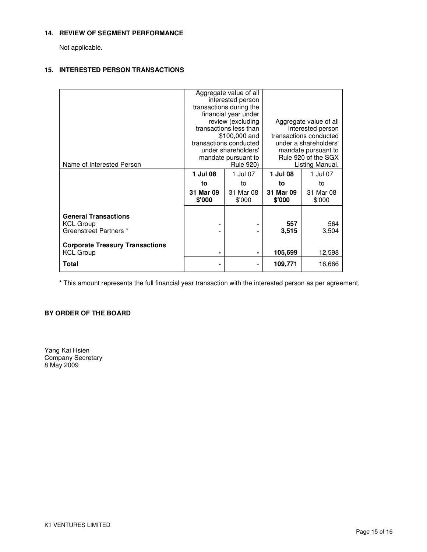### **14. REVIEW OF SEGMENT PERFORMANCE**

Not applicable.

## **15. INTERESTED PERSON TRANSACTIONS**

|                                                            |                     | Aggregate value of all<br>interested person<br>transactions during the<br>financial year under<br>review (excluding<br>transactions less than<br>\$100,000 and<br>transactions conducted | Aggregate value of all<br>interested person<br>transactions conducted<br>under a shareholders' |                     |  |
|------------------------------------------------------------|---------------------|------------------------------------------------------------------------------------------------------------------------------------------------------------------------------------------|------------------------------------------------------------------------------------------------|---------------------|--|
| Name of Interested Person                                  |                     | under shareholders'<br>mandate pursuant to<br><b>Rule 920)</b>                                                                                                                           | mandate pursuant to<br>Rule 920 of the SGX<br>Listing Manual.                                  |                     |  |
|                                                            | 1 Jul 08            | 1 Jul 07                                                                                                                                                                                 | 1 Jul 08                                                                                       | 1 Jul 07            |  |
|                                                            | to                  | to                                                                                                                                                                                       | to                                                                                             | to                  |  |
|                                                            | 31 Mar 09<br>\$'000 | 31 Mar 08<br>\$'000                                                                                                                                                                      | 31 Mar 09<br>\$'000                                                                            | 31 Mar 08<br>\$'000 |  |
| <b>General Transactions</b>                                |                     |                                                                                                                                                                                          |                                                                                                |                     |  |
| <b>KCL Group</b><br>Greenstreet Partners *                 |                     |                                                                                                                                                                                          | 557<br>3,515                                                                                   | 564<br>3,504        |  |
| <b>Corporate Treasury Transactions</b><br><b>KCL Group</b> | ۰                   | ۰                                                                                                                                                                                        | 105,699                                                                                        | 12,598              |  |
| <b>Total</b>                                               | ۰                   | $\overline{\phantom{a}}$                                                                                                                                                                 | 109,771                                                                                        | 16,666              |  |

\* This amount represents the full financial year transaction with the interested person as per agreement.

## **BY ORDER OF THE BOARD**

Yang Kai Hsien Company Secretary 8 May 2009